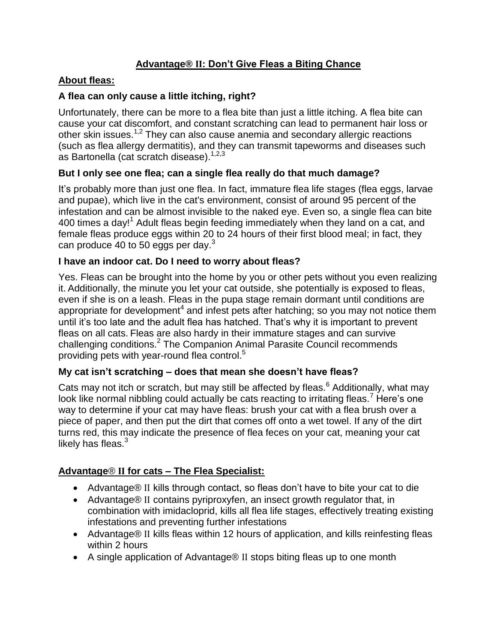# **Advantage® II: Don't Give Fleas a Biting Chance**

### **About fleas:**

## **A flea can only cause a little itching, right?**

Unfortunately, there can be more to a flea bite than just a little itching. A flea bite can cause your cat discomfort, and constant scratching can lead to permanent hair loss or other skin issues.<sup>1,2</sup> They can also cause anemia and secondary allergic reactions (such as flea allergy dermatitis), and they can transmit tapeworms and diseases such as Bartonella (cat scratch disease).<sup>1,2,3</sup>

### **But I only see one flea; can a single flea really do that much damage?**

It's probably more than just one flea. In fact, immature flea life stages (flea eggs, larvae and pupae), which live in the cat's environment, consist of around 95 percent of the infestation and can be almost invisible to the naked eye. Even so, a single flea can bite 400 times a day!<sup>1</sup> Adult fleas begin feeding immediately when they land on a cat, and female fleas produce eggs within 20 to 24 hours of their first blood meal; in fact, they can produce 40 to 50 eggs per day. $3$ 

### **I have an indoor cat. Do I need to worry about fleas?**

Yes. Fleas can be brought into the home by you or other pets without you even realizing it. Additionally, the minute you let your cat outside, she potentially is exposed to fleas, even if she is on a leash. Fleas in the pupa stage remain dormant until conditions are appropriate for development<sup>4</sup> and infest pets after hatching; so you may not notice them until it's too late and the adult flea has hatched. That's why it is important to prevent fleas on all cats. Fleas are also hardy in their immature stages and can survive challenging conditions.<sup>2</sup> The Companion Animal Parasite Council recommends providing pets with year-round flea control.<sup>5</sup>

## **My cat isn't scratching – does that mean she doesn't have fleas?**

Cats may not itch or scratch, but may still be affected by fleas.<sup>6</sup> Additionally, what may look like normal nibbling could actually be cats reacting to irritating fleas.<sup>7</sup> Here's one way to determine if your cat may have fleas: brush your cat with a flea brush over a piece of paper, and then put the dirt that comes off onto a wet towel. If any of the dirt turns red, this may indicate the presence of flea feces on your cat, meaning your cat likely has fleas. $3$ 

## **Advantage**® **II for cats – The Flea Specialist:**

- Advantage® II kills through contact, so fleas don't have to bite your cat to die
- Advantage® II contains pyriproxyfen, an insect growth regulator that, in combination with imidacloprid, kills all flea life stages, effectively treating existing infestations and preventing further infestations
- Advantage® II kills fleas within 12 hours of application, and kills reinfesting fleas within 2 hours
- A single application of Advantage<sup>®</sup> II stops biting fleas up to one month